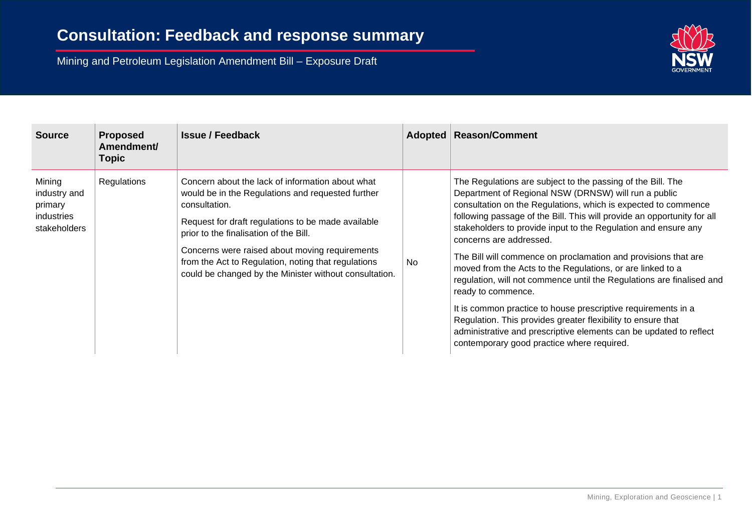

| <b>Source</b>                                                   | <b>Proposed</b><br>Amendment/<br><b>Topic</b> | <b>Issue / Feedback</b>                                                                                                                                                                                                                                                                                                                                                                   |           | Adopted   Reason/Comment                                                                                                                                                                                                                                                                                                                                                                                                                                                                                                                                                                                                                                                                                                                                                                                                                          |
|-----------------------------------------------------------------|-----------------------------------------------|-------------------------------------------------------------------------------------------------------------------------------------------------------------------------------------------------------------------------------------------------------------------------------------------------------------------------------------------------------------------------------------------|-----------|---------------------------------------------------------------------------------------------------------------------------------------------------------------------------------------------------------------------------------------------------------------------------------------------------------------------------------------------------------------------------------------------------------------------------------------------------------------------------------------------------------------------------------------------------------------------------------------------------------------------------------------------------------------------------------------------------------------------------------------------------------------------------------------------------------------------------------------------------|
| Mining<br>industry and<br>primary<br>industries<br>stakeholders | Regulations                                   | Concern about the lack of information about what<br>would be in the Regulations and requested further<br>consultation.<br>Request for draft regulations to be made available<br>prior to the finalisation of the Bill.<br>Concerns were raised about moving requirements<br>from the Act to Regulation, noting that regulations<br>could be changed by the Minister without consultation. | <b>No</b> | The Regulations are subject to the passing of the Bill. The<br>Department of Regional NSW (DRNSW) will run a public<br>consultation on the Regulations, which is expected to commence<br>following passage of the Bill. This will provide an opportunity for all<br>stakeholders to provide input to the Regulation and ensure any<br>concerns are addressed.<br>The Bill will commence on proclamation and provisions that are<br>moved from the Acts to the Regulations, or are linked to a<br>regulation, will not commence until the Regulations are finalised and<br>ready to commence.<br>It is common practice to house prescriptive requirements in a<br>Regulation. This provides greater flexibility to ensure that<br>administrative and prescriptive elements can be updated to reflect<br>contemporary good practice where required. |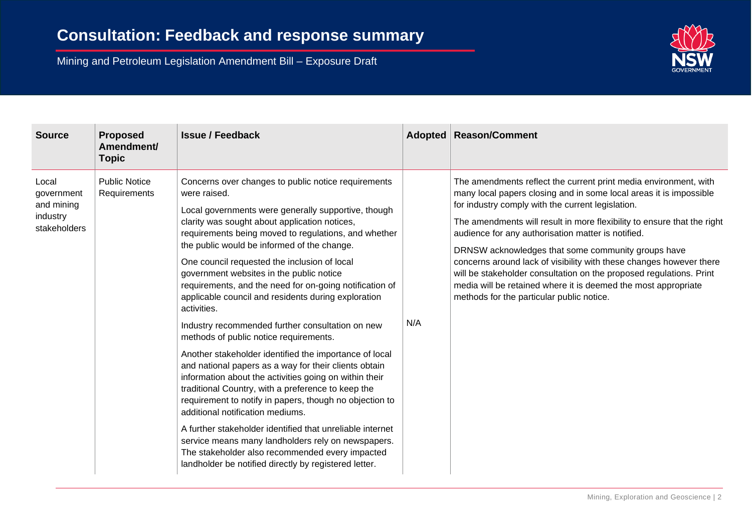

| <b>Source</b>                                                 | <b>Proposed</b><br>Amendment/<br><b>Topic</b> | <b>Issue / Feedback</b>                                                                                                                                                                                                                                                                                                                                                                                                                                                                                                                                                                                                                                                                                                                                                                                                                                                                                                                                                                                                                                                                                                                                                        | Adopted | <b>Reason/Comment</b>                                                                                                                                                                                                                                                                                                                                                                                                                                                                                                                                                                                                                           |
|---------------------------------------------------------------|-----------------------------------------------|--------------------------------------------------------------------------------------------------------------------------------------------------------------------------------------------------------------------------------------------------------------------------------------------------------------------------------------------------------------------------------------------------------------------------------------------------------------------------------------------------------------------------------------------------------------------------------------------------------------------------------------------------------------------------------------------------------------------------------------------------------------------------------------------------------------------------------------------------------------------------------------------------------------------------------------------------------------------------------------------------------------------------------------------------------------------------------------------------------------------------------------------------------------------------------|---------|-------------------------------------------------------------------------------------------------------------------------------------------------------------------------------------------------------------------------------------------------------------------------------------------------------------------------------------------------------------------------------------------------------------------------------------------------------------------------------------------------------------------------------------------------------------------------------------------------------------------------------------------------|
| Local<br>government<br>and mining<br>industry<br>stakeholders | <b>Public Notice</b><br>Requirements          | Concerns over changes to public notice requirements<br>were raised.<br>Local governments were generally supportive, though<br>clarity was sought about application notices,<br>requirements being moved to regulations, and whether<br>the public would be informed of the change.<br>One council requested the inclusion of local<br>government websites in the public notice<br>requirements, and the need for on-going notification of<br>applicable council and residents during exploration<br>activities.<br>Industry recommended further consultation on new<br>methods of public notice requirements.<br>Another stakeholder identified the importance of local<br>and national papers as a way for their clients obtain<br>information about the activities going on within their<br>traditional Country, with a preference to keep the<br>requirement to notify in papers, though no objection to<br>additional notification mediums.<br>A further stakeholder identified that unreliable internet<br>service means many landholders rely on newspapers.<br>The stakeholder also recommended every impacted<br>landholder be notified directly by registered letter. | N/A     | The amendments reflect the current print media environment, with<br>many local papers closing and in some local areas it is impossible<br>for industry comply with the current legislation.<br>The amendments will result in more flexibility to ensure that the right<br>audience for any authorisation matter is notified.<br>DRNSW acknowledges that some community groups have<br>concerns around lack of visibility with these changes however there<br>will be stakeholder consultation on the proposed regulations. Print<br>media will be retained where it is deemed the most appropriate<br>methods for the particular public notice. |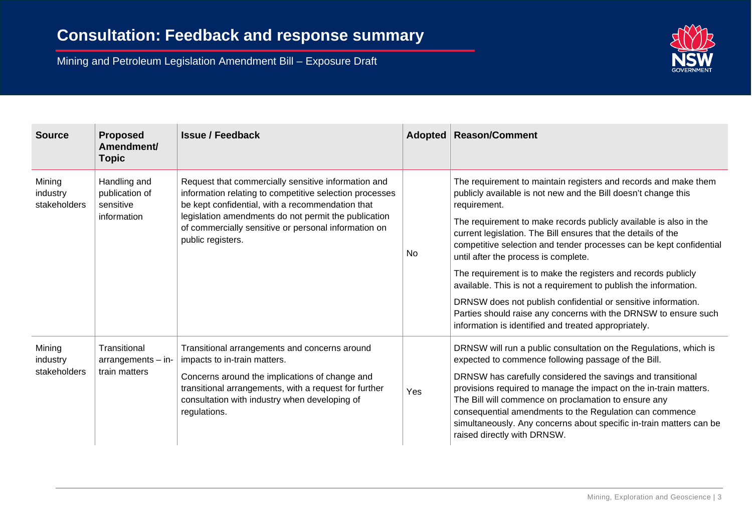

| <b>Source</b>                      | <b>Proposed</b><br>Amendment/<br><b>Topic</b>              | <b>Issue / Feedback</b>                                                                                                                                                                                                                                   |     | <b>Adopted   Reason/Comment</b>                                                                                                                                                                                                                                                                                                                           |                                                                                                                          |
|------------------------------------|------------------------------------------------------------|-----------------------------------------------------------------------------------------------------------------------------------------------------------------------------------------------------------------------------------------------------------|-----|-----------------------------------------------------------------------------------------------------------------------------------------------------------------------------------------------------------------------------------------------------------------------------------------------------------------------------------------------------------|--------------------------------------------------------------------------------------------------------------------------|
| Mining<br>industry<br>stakeholders | Handling and<br>publication of<br>sensitive<br>information | Request that commercially sensitive information and<br>information relating to competitive selection processes<br>be kept confidential, with a recommendation that<br>legislation amendments do not permit the publication                                |     | The requirement to maintain registers and records and make them<br>publicly available is not new and the Bill doesn't change this<br>requirement.                                                                                                                                                                                                         |                                                                                                                          |
|                                    |                                                            | of commercially sensitive or personal information on<br>public registers.                                                                                                                                                                                 | No  | The requirement to make records publicly available is also in the<br>current legislation. The Bill ensures that the details of the<br>competitive selection and tender processes can be kept confidential<br>until after the process is complete.                                                                                                         |                                                                                                                          |
|                                    |                                                            |                                                                                                                                                                                                                                                           |     | The requirement is to make the registers and records publicly<br>available. This is not a requirement to publish the information.                                                                                                                                                                                                                         |                                                                                                                          |
|                                    |                                                            |                                                                                                                                                                                                                                                           |     | DRNSW does not publish confidential or sensitive information.<br>Parties should raise any concerns with the DRNSW to ensure such<br>information is identified and treated appropriately.                                                                                                                                                                  |                                                                                                                          |
| Mining<br>industry<br>stakeholders | Transitional<br>$arrangements - in-$<br>train matters      | Transitional arrangements and concerns around<br>impacts to in-train matters.<br>Concerns around the implications of change and<br>transitional arrangements, with a request for further<br>consultation with industry when developing of<br>regulations. |     |                                                                                                                                                                                                                                                                                                                                                           | DRNSW will run a public consultation on the Regulations, which is<br>expected to commence following passage of the Bill. |
|                                    |                                                            |                                                                                                                                                                                                                                                           | Yes | DRNSW has carefully considered the savings and transitional<br>provisions required to manage the impact on the in-train matters.<br>The Bill will commence on proclamation to ensure any<br>consequential amendments to the Regulation can commence<br>simultaneously. Any concerns about specific in-train matters can be<br>raised directly with DRNSW. |                                                                                                                          |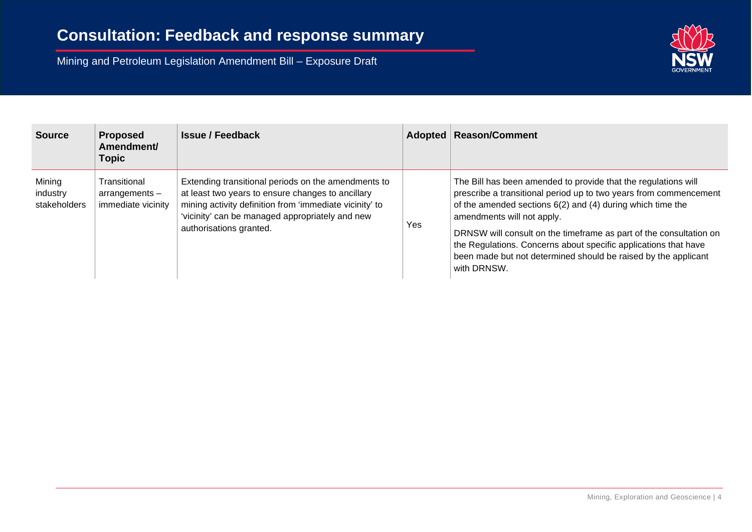

| <b>Source</b>                      | <b>Proposed</b><br>Amendment/<br><b>Topic</b>          | <b>Issue / Feedback</b>                                                                                                                                                                                                                           | Adopted | <b>Reason/Comment</b>                                                                                                                                                                                                                                                                                                                                                                                                                                         |
|------------------------------------|--------------------------------------------------------|---------------------------------------------------------------------------------------------------------------------------------------------------------------------------------------------------------------------------------------------------|---------|---------------------------------------------------------------------------------------------------------------------------------------------------------------------------------------------------------------------------------------------------------------------------------------------------------------------------------------------------------------------------------------------------------------------------------------------------------------|
| Mining<br>industry<br>stakeholders | Transitional<br>$arrangements -$<br>immediate vicinity | Extending transitional periods on the amendments to<br>at least two years to ensure changes to ancillary<br>mining activity definition from 'immediate vicinity' to<br>'vicinity' can be managed appropriately and new<br>authorisations granted. | Yes     | The Bill has been amended to provide that the regulations will<br>prescribe a transitional period up to two years from commencement<br>of the amended sections $6(2)$ and $(4)$ during which time the<br>amendments will not apply.<br>DRNSW will consult on the timeframe as part of the consultation on<br>the Regulations. Concerns about specific applications that have<br>been made but not determined should be raised by the applicant<br>with DRNSW. |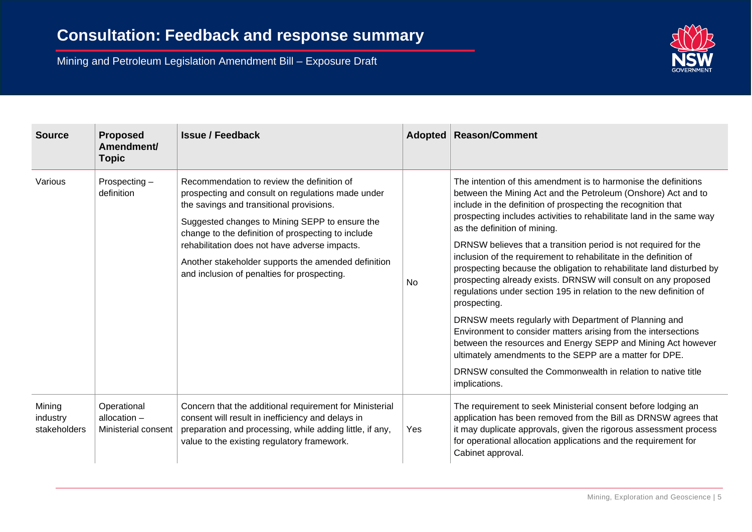

| <b>Source</b>                      | <b>Proposed</b><br>Amendment/<br><b>Topic</b>        | <b>Issue / Feedback</b>                                                                                                                                                                                                                                                                                                                                                                                    | Adopted   | <b>Reason/Comment</b>                                                                                                                                                                                                                                                                                                                                                                                                                                                                                                                                                                                                                                                                                                                                                                                                                                                                                                                                                                                                    |
|------------------------------------|------------------------------------------------------|------------------------------------------------------------------------------------------------------------------------------------------------------------------------------------------------------------------------------------------------------------------------------------------------------------------------------------------------------------------------------------------------------------|-----------|--------------------------------------------------------------------------------------------------------------------------------------------------------------------------------------------------------------------------------------------------------------------------------------------------------------------------------------------------------------------------------------------------------------------------------------------------------------------------------------------------------------------------------------------------------------------------------------------------------------------------------------------------------------------------------------------------------------------------------------------------------------------------------------------------------------------------------------------------------------------------------------------------------------------------------------------------------------------------------------------------------------------------|
| Various                            | Prospecting $-$<br>definition                        | Recommendation to review the definition of<br>prospecting and consult on regulations made under<br>the savings and transitional provisions.<br>Suggested changes to Mining SEPP to ensure the<br>change to the definition of prospecting to include<br>rehabilitation does not have adverse impacts.<br>Another stakeholder supports the amended definition<br>and inclusion of penalties for prospecting. | <b>No</b> | The intention of this amendment is to harmonise the definitions<br>between the Mining Act and the Petroleum (Onshore) Act and to<br>include in the definition of prospecting the recognition that<br>prospecting includes activities to rehabilitate land in the same way<br>as the definition of mining.<br>DRNSW believes that a transition period is not required for the<br>inclusion of the requirement to rehabilitate in the definition of<br>prospecting because the obligation to rehabilitate land disturbed by<br>prospecting already exists. DRNSW will consult on any proposed<br>regulations under section 195 in relation to the new definition of<br>prospecting.<br>DRNSW meets regularly with Department of Planning and<br>Environment to consider matters arising from the intersections<br>between the resources and Energy SEPP and Mining Act however<br>ultimately amendments to the SEPP are a matter for DPE.<br>DRNSW consulted the Commonwealth in relation to native title<br>implications. |
| Mining<br>industry<br>stakeholders | Operational<br>allocation $-$<br>Ministerial consent | Concern that the additional requirement for Ministerial<br>consent will result in inefficiency and delays in<br>preparation and processing, while adding little, if any,<br>value to the existing regulatory framework.                                                                                                                                                                                    | Yes       | The requirement to seek Ministerial consent before lodging an<br>application has been removed from the Bill as DRNSW agrees that<br>it may duplicate approvals, given the rigorous assessment process<br>for operational allocation applications and the requirement for<br>Cabinet approval.                                                                                                                                                                                                                                                                                                                                                                                                                                                                                                                                                                                                                                                                                                                            |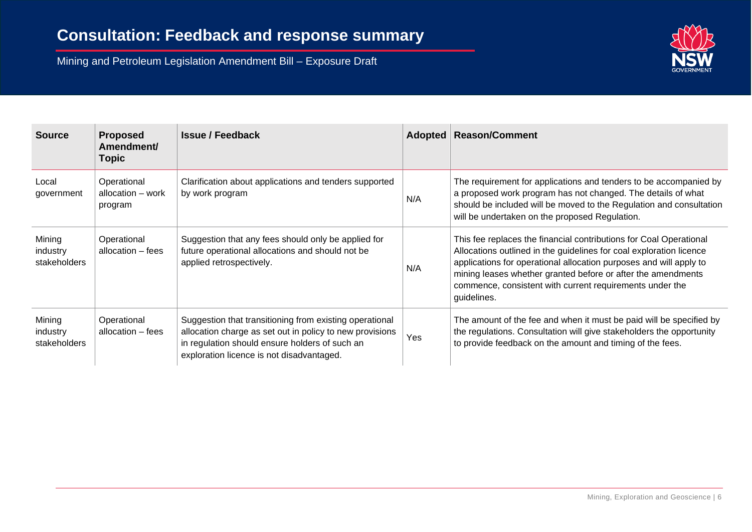

| <b>Source</b>                      | <b>Proposed</b><br>Amendment/<br><b>Topic</b> | <b>Issue / Feedback</b>                                                                                                                                                                                            |     | Adopted   Reason/Comment                                                                                                                                                                                                                                                                                                                                   |
|------------------------------------|-----------------------------------------------|--------------------------------------------------------------------------------------------------------------------------------------------------------------------------------------------------------------------|-----|------------------------------------------------------------------------------------------------------------------------------------------------------------------------------------------------------------------------------------------------------------------------------------------------------------------------------------------------------------|
| Local<br>government                | Operational<br>allocation – work<br>program   | Clarification about applications and tenders supported<br>by work program                                                                                                                                          | N/A | The requirement for applications and tenders to be accompanied by<br>a proposed work program has not changed. The details of what<br>should be included will be moved to the Regulation and consultation<br>will be undertaken on the proposed Regulation.                                                                                                 |
| Mining<br>industry<br>stakeholders | Operational<br>allocation – fees              | Suggestion that any fees should only be applied for<br>future operational allocations and should not be<br>applied retrospectively.                                                                                | N/A | This fee replaces the financial contributions for Coal Operational<br>Allocations outlined in the guidelines for coal exploration licence<br>applications for operational allocation purposes and will apply to<br>mining leases whether granted before or after the amendments<br>commence, consistent with current requirements under the<br>guidelines. |
| Mining<br>industry<br>stakeholders | Operational<br>allocation - fees              | Suggestion that transitioning from existing operational<br>allocation charge as set out in policy to new provisions<br>in regulation should ensure holders of such an<br>exploration licence is not disadvantaged. | Yes | The amount of the fee and when it must be paid will be specified by<br>the regulations. Consultation will give stakeholders the opportunity<br>to provide feedback on the amount and timing of the fees.                                                                                                                                                   |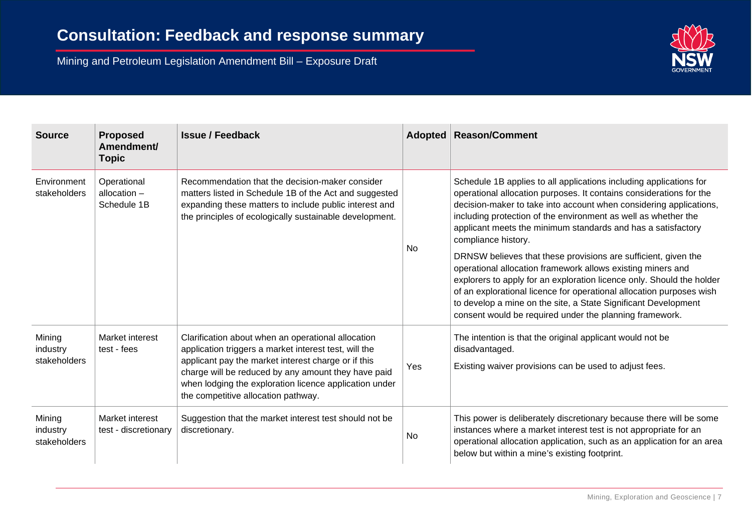

| <b>Source</b>                      | <b>Proposed</b><br>Amendment/<br><b>Topic</b> | <b>Issue / Feedback</b>                                                                                                                                                                                                        | Adopted   | <b>Reason/Comment</b>                                                                                                                                                                                                                                                                                                                                                                                       |
|------------------------------------|-----------------------------------------------|--------------------------------------------------------------------------------------------------------------------------------------------------------------------------------------------------------------------------------|-----------|-------------------------------------------------------------------------------------------------------------------------------------------------------------------------------------------------------------------------------------------------------------------------------------------------------------------------------------------------------------------------------------------------------------|
| Environment<br>stakeholders        | Operational<br>allocation $-$<br>Schedule 1B  | Recommendation that the decision-maker consider<br>matters listed in Schedule 1B of the Act and suggested<br>expanding these matters to include public interest and<br>the principles of ecologically sustainable development. | <b>No</b> | Schedule 1B applies to all applications including applications for<br>operational allocation purposes. It contains considerations for the<br>decision-maker to take into account when considering applications,<br>including protection of the environment as well as whether the<br>applicant meets the minimum standards and has a satisfactory<br>compliance history.                                    |
|                                    |                                               |                                                                                                                                                                                                                                |           | DRNSW believes that these provisions are sufficient, given the<br>operational allocation framework allows existing miners and<br>explorers to apply for an exploration licence only. Should the holder<br>of an explorational licence for operational allocation purposes wish<br>to develop a mine on the site, a State Significant Development<br>consent would be required under the planning framework. |
| Mining<br>industry<br>stakeholders | Market interest<br>test - fees                | Clarification about when an operational allocation<br>application triggers a market interest test, will the<br>applicant pay the market interest charge or if this<br>charge will be reduced by any amount they have paid      | Yes       | The intention is that the original applicant would not be<br>disadvantaged.<br>Existing waiver provisions can be used to adjust fees.                                                                                                                                                                                                                                                                       |
|                                    |                                               | when lodging the exploration licence application under<br>the competitive allocation pathway.                                                                                                                                  |           |                                                                                                                                                                                                                                                                                                                                                                                                             |
| Mining<br>industry<br>stakeholders | Market interest<br>test - discretionary       | Suggestion that the market interest test should not be<br>discretionary.                                                                                                                                                       | No        | This power is deliberately discretionary because there will be some<br>instances where a market interest test is not appropriate for an<br>operational allocation application, such as an application for an area<br>below but within a mine's existing footprint.                                                                                                                                          |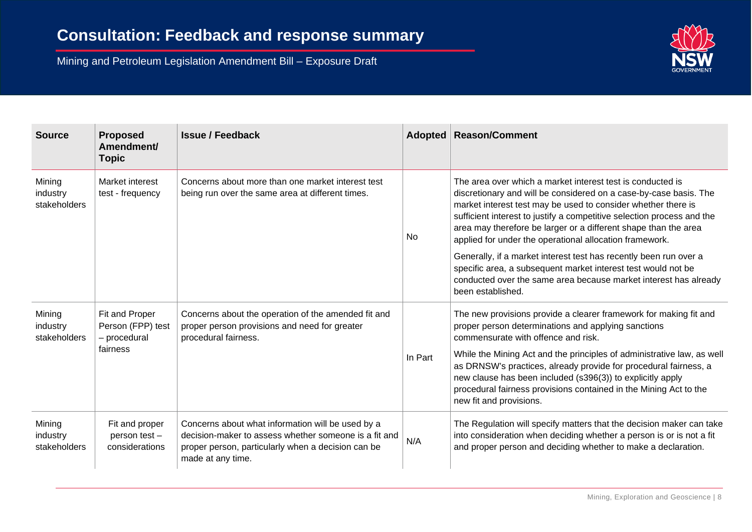

| <b>Source</b>                      | <b>Proposed</b><br>Amendment/<br><b>Topic</b>       | <b>Issue / Feedback</b>                                                                                                                                                               | Adopted   | <b>Reason/Comment</b>                                                                                                                                                                                                                                                                                                                                                                                    |
|------------------------------------|-----------------------------------------------------|---------------------------------------------------------------------------------------------------------------------------------------------------------------------------------------|-----------|----------------------------------------------------------------------------------------------------------------------------------------------------------------------------------------------------------------------------------------------------------------------------------------------------------------------------------------------------------------------------------------------------------|
| Mining<br>industry<br>stakeholders | Market interest<br>test - frequency                 | Concerns about more than one market interest test<br>being run over the same area at different times.                                                                                 | <b>No</b> | The area over which a market interest test is conducted is<br>discretionary and will be considered on a case-by-case basis. The<br>market interest test may be used to consider whether there is<br>sufficient interest to justify a competitive selection process and the<br>area may therefore be larger or a different shape than the area<br>applied for under the operational allocation framework. |
|                                    |                                                     |                                                                                                                                                                                       |           | Generally, if a market interest test has recently been run over a<br>specific area, a subsequent market interest test would not be<br>conducted over the same area because market interest has already<br>been established.                                                                                                                                                                              |
| Mining<br>industry<br>stakeholders | Fit and Proper<br>Person (FPP) test<br>- procedural | Concerns about the operation of the amended fit and<br>proper person provisions and need for greater<br>procedural fairness.                                                          |           | The new provisions provide a clearer framework for making fit and<br>proper person determinations and applying sanctions<br>commensurate with offence and risk.                                                                                                                                                                                                                                          |
|                                    | fairness                                            |                                                                                                                                                                                       | In Part   | While the Mining Act and the principles of administrative law, as well<br>as DRNSW's practices, already provide for procedural fairness, a<br>new clause has been included (s396(3)) to explicitly apply<br>procedural fairness provisions contained in the Mining Act to the<br>new fit and provisions.                                                                                                 |
| Mining<br>industry<br>stakeholders | Fit and proper<br>person test-<br>considerations    | Concerns about what information will be used by a<br>decision-maker to assess whether someone is a fit and<br>proper person, particularly when a decision can be<br>made at any time. | N/A       | The Regulation will specify matters that the decision maker can take<br>into consideration when deciding whether a person is or is not a fit<br>and proper person and deciding whether to make a declaration.                                                                                                                                                                                            |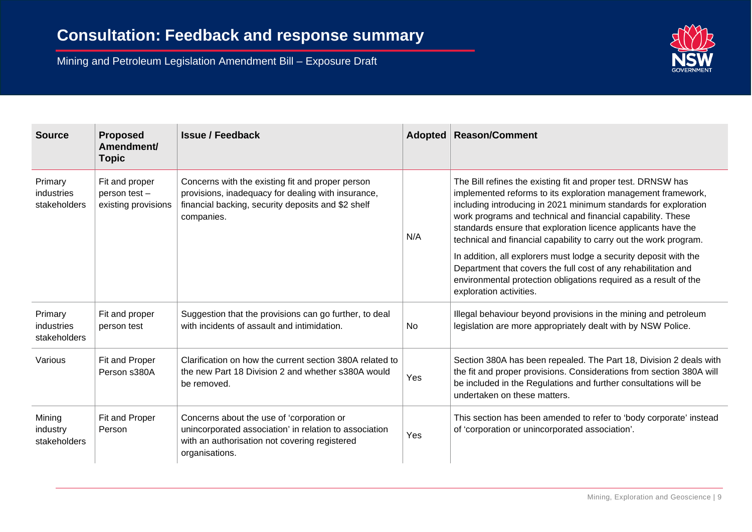

| <b>Source</b>                         | <b>Proposed</b><br>Amendment/<br><b>Topic</b>          | <b>Issue / Feedback</b>                                                                                                                                                    | Adopted   | <b>Reason/Comment</b>                                                                                                                                                                                                                                                                                                                                                                                |
|---------------------------------------|--------------------------------------------------------|----------------------------------------------------------------------------------------------------------------------------------------------------------------------------|-----------|------------------------------------------------------------------------------------------------------------------------------------------------------------------------------------------------------------------------------------------------------------------------------------------------------------------------------------------------------------------------------------------------------|
| Primary<br>industries<br>stakeholders | Fit and proper<br>person test -<br>existing provisions | Concerns with the existing fit and proper person<br>provisions, inadequacy for dealing with insurance,<br>financial backing, security deposits and \$2 shelf<br>companies. | N/A       | The Bill refines the existing fit and proper test. DRNSW has<br>implemented reforms to its exploration management framework,<br>including introducing in 2021 minimum standards for exploration<br>work programs and technical and financial capability. These<br>standards ensure that exploration licence applicants have the<br>technical and financial capability to carry out the work program. |
|                                       |                                                        |                                                                                                                                                                            |           | In addition, all explorers must lodge a security deposit with the<br>Department that covers the full cost of any rehabilitation and<br>environmental protection obligations required as a result of the<br>exploration activities.                                                                                                                                                                   |
| Primary<br>industries<br>stakeholders | Fit and proper<br>person test                          | Suggestion that the provisions can go further, to deal<br>with incidents of assault and intimidation.                                                                      | <b>No</b> | Illegal behaviour beyond provisions in the mining and petroleum<br>legislation are more appropriately dealt with by NSW Police.                                                                                                                                                                                                                                                                      |
| Various                               | Fit and Proper<br>Person s380A                         | Clarification on how the current section 380A related to<br>the new Part 18 Division 2 and whether s380A would<br>be removed.                                              | Yes       | Section 380A has been repealed. The Part 18, Division 2 deals with<br>the fit and proper provisions. Considerations from section 380A will<br>be included in the Regulations and further consultations will be<br>undertaken on these matters.                                                                                                                                                       |
| Mining<br>industry<br>stakeholders    | Fit and Proper<br>Person                               | Concerns about the use of 'corporation or<br>unincorporated association' in relation to association<br>with an authorisation not covering registered<br>organisations.     | Yes       | This section has been amended to refer to 'body corporate' instead<br>of 'corporation or unincorporated association'.                                                                                                                                                                                                                                                                                |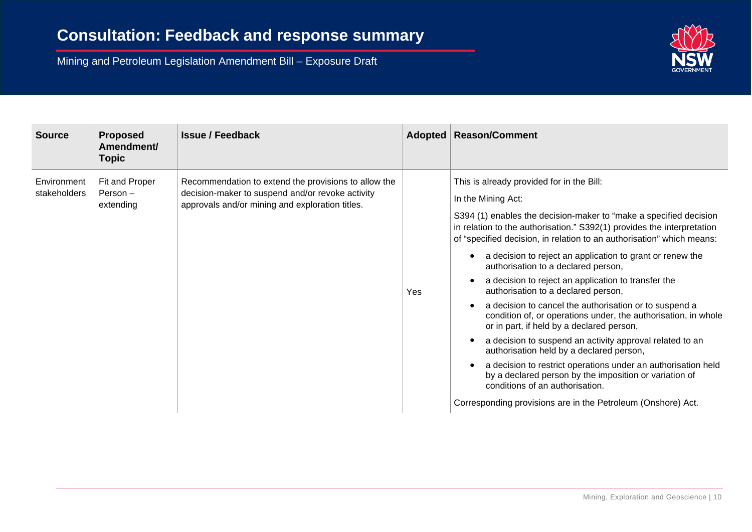

| <b>Source</b>               | <b>Proposed</b><br>Amendment/<br><b>Topic</b> | <b>Issue / Feedback</b>                                                                                                                                     |     | Adopted   Reason/Comment                                                                                                                                                                                                                                                                                                                                                                                                                                                                                                                                                                                                                                                                                                                                                                                                                                                                                                                                                                                                           |
|-----------------------------|-----------------------------------------------|-------------------------------------------------------------------------------------------------------------------------------------------------------------|-----|------------------------------------------------------------------------------------------------------------------------------------------------------------------------------------------------------------------------------------------------------------------------------------------------------------------------------------------------------------------------------------------------------------------------------------------------------------------------------------------------------------------------------------------------------------------------------------------------------------------------------------------------------------------------------------------------------------------------------------------------------------------------------------------------------------------------------------------------------------------------------------------------------------------------------------------------------------------------------------------------------------------------------------|
| Environment<br>stakeholders | Fit and Proper<br>Person $-$<br>extending     | Recommendation to extend the provisions to allow the<br>decision-maker to suspend and/or revoke activity<br>approvals and/or mining and exploration titles. | Yes | This is already provided for in the Bill:<br>In the Mining Act:<br>S394 (1) enables the decision-maker to "make a specified decision<br>in relation to the authorisation." S392(1) provides the interpretation<br>of "specified decision, in relation to an authorisation" which means:<br>a decision to reject an application to grant or renew the<br>$\bullet$<br>authorisation to a declared person,<br>a decision to reject an application to transfer the<br>authorisation to a declared person,<br>a decision to cancel the authorisation or to suspend a<br>$\bullet$<br>condition of, or operations under, the authorisation, in whole<br>or in part, if held by a declared person,<br>a decision to suspend an activity approval related to an<br>authorisation held by a declared person,<br>a decision to restrict operations under an authorisation held<br>by a declared person by the imposition or variation of<br>conditions of an authorisation.<br>Corresponding provisions are in the Petroleum (Onshore) Act. |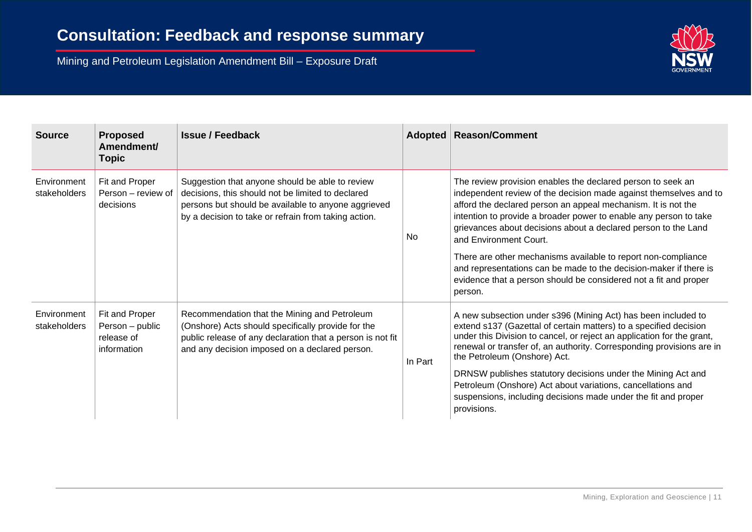

| <b>Source</b>               | <b>Proposed</b><br>Amendment/<br><b>Topic</b>                  | <b>Issue / Feedback</b>                                                                                                                                                                                             |                                                                                                                                                                                                                   | Adopted   Reason/Comment                                                                                                                                                                                                                                                                                                                                           |
|-----------------------------|----------------------------------------------------------------|---------------------------------------------------------------------------------------------------------------------------------------------------------------------------------------------------------------------|-------------------------------------------------------------------------------------------------------------------------------------------------------------------------------------------------------------------|--------------------------------------------------------------------------------------------------------------------------------------------------------------------------------------------------------------------------------------------------------------------------------------------------------------------------------------------------------------------|
| Environment<br>stakeholders | Fit and Proper<br>Person - review of<br>decisions              | Suggestion that anyone should be able to review<br>decisions, this should not be limited to declared<br>persons but should be available to anyone aggrieved<br>by a decision to take or refrain from taking action. | <b>No</b>                                                                                                                                                                                                         | The review provision enables the declared person to seek an<br>independent review of the decision made against themselves and to<br>afford the declared person an appeal mechanism. It is not the<br>intention to provide a broader power to enable any person to take<br>grievances about decisions about a declared person to the Land<br>and Environment Court. |
|                             |                                                                |                                                                                                                                                                                                                     | There are other mechanisms available to report non-compliance<br>and representations can be made to the decision-maker if there is<br>evidence that a person should be considered not a fit and proper<br>person. |                                                                                                                                                                                                                                                                                                                                                                    |
| Environment<br>stakeholders | Fit and Proper<br>Person - public<br>release of<br>information | Recommendation that the Mining and Petroleum<br>(Onshore) Acts should specifically provide for the<br>public release of any declaration that a person is not fit<br>and any decision imposed on a declared person.  | In Part                                                                                                                                                                                                           | A new subsection under s396 (Mining Act) has been included to<br>extend s137 (Gazettal of certain matters) to a specified decision<br>under this Division to cancel, or reject an application for the grant,<br>renewal or transfer of, an authority. Corresponding provisions are in<br>the Petroleum (Onshore) Act.                                              |
|                             |                                                                |                                                                                                                                                                                                                     |                                                                                                                                                                                                                   | DRNSW publishes statutory decisions under the Mining Act and<br>Petroleum (Onshore) Act about variations, cancellations and<br>suspensions, including decisions made under the fit and proper<br>provisions.                                                                                                                                                       |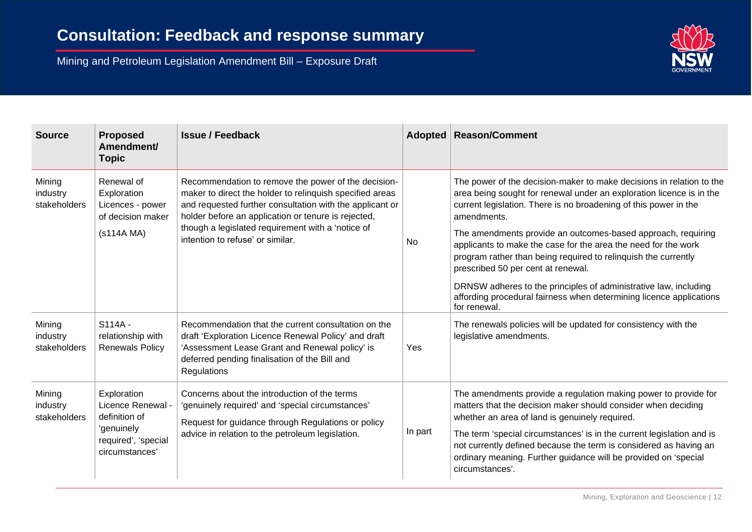

| <b>Source</b>                      | <b>Proposed</b><br>Amendment/<br><b>Topic</b>                                                            | <b>Issue / Feedback</b>                                                                                                                                                                                                                                                                                                     |         | Adopted   Reason/Comment                                                                                                                                                                                                                                                                                                                                                                                               |
|------------------------------------|----------------------------------------------------------------------------------------------------------|-----------------------------------------------------------------------------------------------------------------------------------------------------------------------------------------------------------------------------------------------------------------------------------------------------------------------------|---------|------------------------------------------------------------------------------------------------------------------------------------------------------------------------------------------------------------------------------------------------------------------------------------------------------------------------------------------------------------------------------------------------------------------------|
| Mining<br>industry<br>stakeholders | Renewal of<br>Exploration<br>Licences - power<br>of decision maker<br>(s114A MA)                         | Recommendation to remove the power of the decision-<br>maker to direct the holder to relinquish specified areas<br>and requested further consultation with the applicant or<br>holder before an application or tenure is rejected,<br>though a legislated requirement with a 'notice of<br>intention to refuse' or similar. |         | The power of the decision-maker to make decisions in relation to the<br>area being sought for renewal under an exploration licence is in the<br>current legislation. There is no broadening of this power in the<br>amendments.                                                                                                                                                                                        |
|                                    |                                                                                                          |                                                                                                                                                                                                                                                                                                                             | No      | The amendments provide an outcomes-based approach, requiring<br>applicants to make the case for the area the need for the work<br>program rather than being required to relinquish the currently<br>prescribed 50 per cent at renewal.                                                                                                                                                                                 |
|                                    |                                                                                                          |                                                                                                                                                                                                                                                                                                                             |         | DRNSW adheres to the principles of administrative law, including<br>affording procedural fairness when determining licence applications<br>for renewal.                                                                                                                                                                                                                                                                |
| Mining<br>industry<br>stakeholders | S114A-<br>relationship with<br><b>Renewals Policy</b>                                                    | Recommendation that the current consultation on the<br>draft 'Exploration Licence Renewal Policy' and draft<br>'Assessment Lease Grant and Renewal policy' is<br>deferred pending finalisation of the Bill and<br>Regulations                                                                                               | Yes     | The renewals policies will be updated for consistency with the<br>legislative amendments.                                                                                                                                                                                                                                                                                                                              |
| Mining<br>industry<br>stakeholders | Exploration<br>Licence Renewal -<br>definition of<br>'genuinely<br>required', 'special<br>circumstances' | Concerns about the introduction of the terms<br>'genuinely required' and 'special circumstances'<br>Request for guidance through Regulations or policy<br>advice in relation to the petroleum legislation.                                                                                                                  | In part | The amendments provide a regulation making power to provide for<br>matters that the decision maker should consider when deciding<br>whether an area of land is genuinely required.<br>The term 'special circumstances' is in the current legislation and is<br>not currently defined because the term is considered as having an<br>ordinary meaning. Further guidance will be provided on 'special<br>circumstances'. |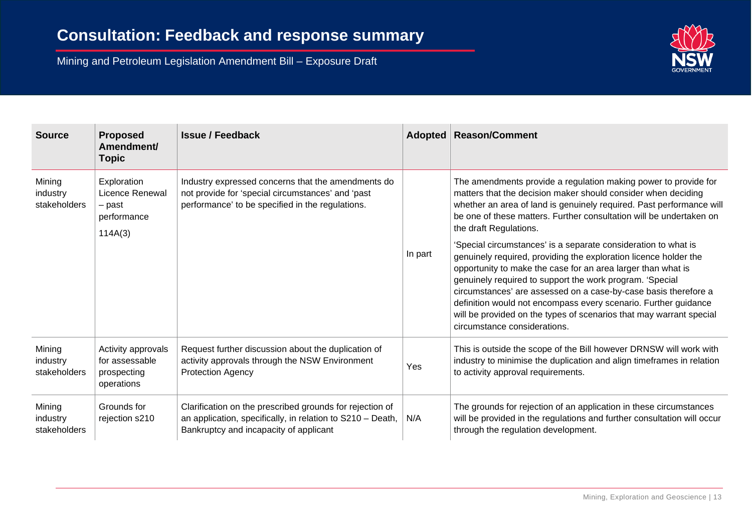

| <b>Source</b>                      | <b>Proposed</b><br>Amendment/<br><b>Topic</b>                      | <b>Issue / Feedback</b>                                                                                                                                             |         | Adopted   Reason/Comment                                                                                                                                                                                                                                                                                                                                                                                                                                                                                    |
|------------------------------------|--------------------------------------------------------------------|---------------------------------------------------------------------------------------------------------------------------------------------------------------------|---------|-------------------------------------------------------------------------------------------------------------------------------------------------------------------------------------------------------------------------------------------------------------------------------------------------------------------------------------------------------------------------------------------------------------------------------------------------------------------------------------------------------------|
| Mining<br>industry<br>stakeholders | Exploration<br>Licence Renewal<br>- past<br>performance<br>114A(3) | Industry expressed concerns that the amendments do<br>not provide for 'special circumstances' and 'past<br>performance' to be specified in the regulations.         |         | The amendments provide a regulation making power to provide for<br>matters that the decision maker should consider when deciding<br>whether an area of land is genuinely required. Past performance will<br>be one of these matters. Further consultation will be undertaken on<br>the draft Regulations.                                                                                                                                                                                                   |
|                                    |                                                                    |                                                                                                                                                                     | In part | 'Special circumstances' is a separate consideration to what is<br>genuinely required, providing the exploration licence holder the<br>opportunity to make the case for an area larger than what is<br>genuinely required to support the work program. 'Special<br>circumstances' are assessed on a case-by-case basis therefore a<br>definition would not encompass every scenario. Further guidance<br>will be provided on the types of scenarios that may warrant special<br>circumstance considerations. |
| Mining<br>industry<br>stakeholders | Activity approvals<br>for assessable<br>prospecting<br>operations  | Request further discussion about the duplication of<br>activity approvals through the NSW Environment<br><b>Protection Agency</b>                                   | Yes     | This is outside the scope of the Bill however DRNSW will work with<br>industry to minimise the duplication and align timeframes in relation<br>to activity approval requirements.                                                                                                                                                                                                                                                                                                                           |
| Mining<br>industry<br>stakeholders | Grounds for<br>rejection s210                                      | Clarification on the prescribed grounds for rejection of<br>an application, specifically, in relation to $S210 - Death$ ,<br>Bankruptcy and incapacity of applicant | N/A     | The grounds for rejection of an application in these circumstances<br>will be provided in the regulations and further consultation will occur<br>through the regulation development.                                                                                                                                                                                                                                                                                                                        |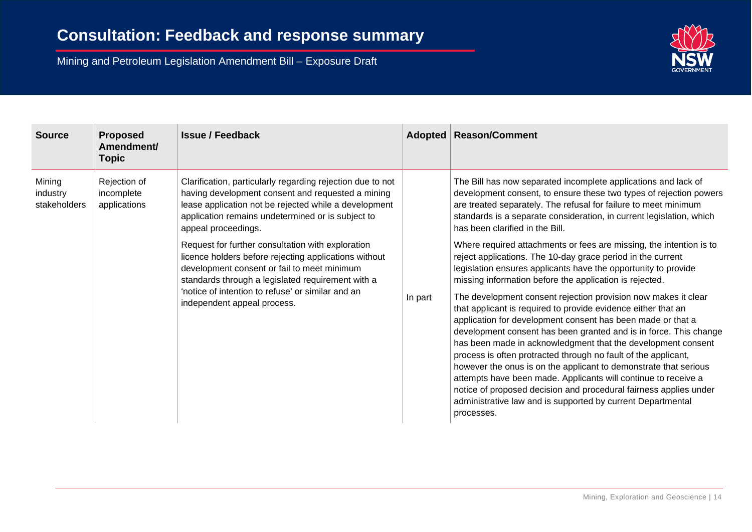

| <b>Source</b>                      | <b>Proposed</b><br>Amendment/<br>Topic     | <b>Issue / Feedback</b>                                                                                                                                                                                                                                                                            |         | Adopted   Reason/Comment                                                                                                                                                                                                                                                                                                                                                                                                                                                                                                                                                                                                                                                                                                                                                                                                                                                                                                                                         |
|------------------------------------|--------------------------------------------|----------------------------------------------------------------------------------------------------------------------------------------------------------------------------------------------------------------------------------------------------------------------------------------------------|---------|------------------------------------------------------------------------------------------------------------------------------------------------------------------------------------------------------------------------------------------------------------------------------------------------------------------------------------------------------------------------------------------------------------------------------------------------------------------------------------------------------------------------------------------------------------------------------------------------------------------------------------------------------------------------------------------------------------------------------------------------------------------------------------------------------------------------------------------------------------------------------------------------------------------------------------------------------------------|
| Mining<br>industry<br>stakeholders | Rejection of<br>incomplete<br>applications | Clarification, particularly regarding rejection due to not<br>having development consent and requested a mining<br>lease application not be rejected while a development<br>application remains undetermined or is subject to<br>appeal proceedings.                                               |         | The Bill has now separated incomplete applications and lack of<br>development consent, to ensure these two types of rejection powers<br>are treated separately. The refusal for failure to meet minimum<br>standards is a separate consideration, in current legislation, which<br>has been clarified in the Bill.                                                                                                                                                                                                                                                                                                                                                                                                                                                                                                                                                                                                                                               |
|                                    |                                            | Request for further consultation with exploration<br>licence holders before rejecting applications without<br>development consent or fail to meet minimum<br>standards through a legislated requirement with a<br>'notice of intention to refuse' or similar and an<br>independent appeal process. | In part | Where required attachments or fees are missing, the intention is to<br>reject applications. The 10-day grace period in the current<br>legislation ensures applicants have the opportunity to provide<br>missing information before the application is rejected.<br>The development consent rejection provision now makes it clear<br>that applicant is required to provide evidence either that an<br>application for development consent has been made or that a<br>development consent has been granted and is in force. This change<br>has been made in acknowledgment that the development consent<br>process is often protracted through no fault of the applicant,<br>however the onus is on the applicant to demonstrate that serious<br>attempts have been made. Applicants will continue to receive a<br>notice of proposed decision and procedural fairness applies under<br>administrative law and is supported by current Departmental<br>processes. |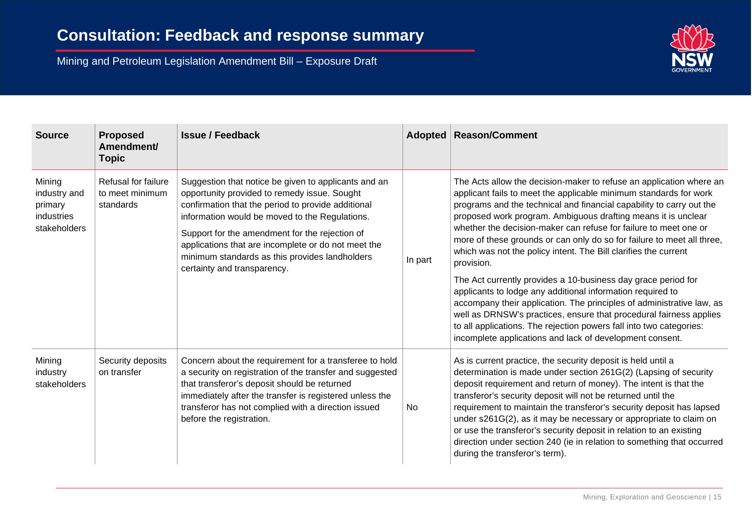

| <b>Source</b>                                                   | <b>Proposed</b><br>Amendment/<br><b>Topic</b>       | <b>Issue / Feedback</b>                                                                                                                                                                                                                                                                                                                                                                                |         | <b>Adopted   Reason/Comment</b>                                                                                                                                                                                                                                                                                                                                                                                                                                                                                                                                                                                                                                                                                                                                                                                                                                                                                                   |
|-----------------------------------------------------------------|-----------------------------------------------------|--------------------------------------------------------------------------------------------------------------------------------------------------------------------------------------------------------------------------------------------------------------------------------------------------------------------------------------------------------------------------------------------------------|---------|-----------------------------------------------------------------------------------------------------------------------------------------------------------------------------------------------------------------------------------------------------------------------------------------------------------------------------------------------------------------------------------------------------------------------------------------------------------------------------------------------------------------------------------------------------------------------------------------------------------------------------------------------------------------------------------------------------------------------------------------------------------------------------------------------------------------------------------------------------------------------------------------------------------------------------------|
| Mining<br>industry and<br>primary<br>industries<br>stakeholders | Refusal for failure<br>to meet minimum<br>standards | Suggestion that notice be given to applicants and an<br>opportunity provided to remedy issue. Sought<br>confirmation that the period to provide additional<br>information would be moved to the Regulations.<br>Support for the amendment for the rejection of<br>applications that are incomplete or do not meet the<br>minimum standards as this provides landholders<br>certainty and transparency. | In part | The Acts allow the decision-maker to refuse an application where an<br>applicant fails to meet the applicable minimum standards for work<br>programs and the technical and financial capability to carry out the<br>proposed work program. Ambiguous drafting means it is unclear<br>whether the decision-maker can refuse for failure to meet one or<br>more of these grounds or can only do so for failure to meet all three,<br>which was not the policy intent. The Bill clarifies the current<br>provision.<br>The Act currently provides a 10-business day grace period for<br>applicants to lodge any additional information required to<br>accompany their application. The principles of administrative law, as<br>well as DRNSW's practices, ensure that procedural fairness applies<br>to all applications. The rejection powers fall into two categories:<br>incomplete applications and lack of development consent. |
| Mining<br>industry<br>stakeholders                              | Security deposits<br>on transfer                    | Concern about the requirement for a transferee to hold<br>a security on registration of the transfer and suggested<br>that transferor's deposit should be returned<br>immediately after the transfer is registered unless the<br>transferor has not complied with a direction issued<br>before the registration.                                                                                       | No      | As is current practice, the security deposit is held until a<br>determination is made under section 261G(2) (Lapsing of security<br>deposit requirement and return of money). The intent is that the<br>transferor's security deposit will not be returned until the<br>requirement to maintain the transferor's security deposit has lapsed<br>under s261G(2), as it may be necessary or appropriate to claim on<br>or use the transferor's security deposit in relation to an existing<br>direction under section 240 (ie in relation to something that occurred<br>during the transferor's term).                                                                                                                                                                                                                                                                                                                              |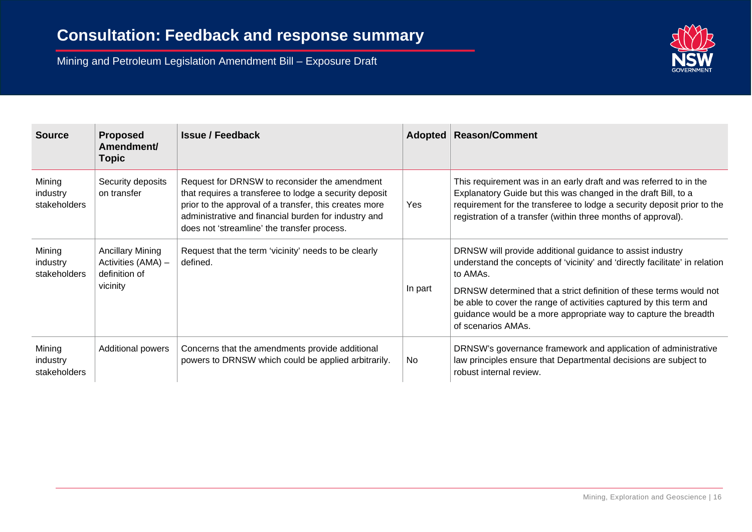

| <b>Source</b>                      | <b>Proposed</b><br>Amendment/<br>Topic                                     | <b>Issue / Feedback</b>                                                                                                                                                                                                                                                  |         | Adopted   Reason/Comment                                                                                                                                                                                                                                                        |
|------------------------------------|----------------------------------------------------------------------------|--------------------------------------------------------------------------------------------------------------------------------------------------------------------------------------------------------------------------------------------------------------------------|---------|---------------------------------------------------------------------------------------------------------------------------------------------------------------------------------------------------------------------------------------------------------------------------------|
| Mining<br>industry<br>stakeholders | Security deposits<br>on transfer                                           | Request for DRNSW to reconsider the amendment<br>that requires a transferee to lodge a security deposit<br>prior to the approval of a transfer, this creates more<br>administrative and financial burden for industry and<br>does not 'streamline' the transfer process. | Yes     | This requirement was in an early draft and was referred to in the<br>Explanatory Guide but this was changed in the draft Bill, to a<br>requirement for the transferee to lodge a security deposit prior to the<br>registration of a transfer (within three months of approval). |
| Mining<br>industry<br>stakeholders | <b>Ancillary Mining</b><br>Activities (AMA) -<br>definition of<br>vicinity | Request that the term 'vicinity' needs to be clearly<br>defined.                                                                                                                                                                                                         |         | DRNSW will provide additional guidance to assist industry<br>understand the concepts of 'vicinity' and 'directly facilitate' in relation<br>to AMAs.                                                                                                                            |
|                                    |                                                                            |                                                                                                                                                                                                                                                                          | In part | DRNSW determined that a strict definition of these terms would not<br>be able to cover the range of activities captured by this term and<br>guidance would be a more appropriate way to capture the breadth<br>of scenarios AMAs.                                               |
| Mining<br>industry<br>stakeholders | Additional powers                                                          | Concerns that the amendments provide additional<br>powers to DRNSW which could be applied arbitrarily.                                                                                                                                                                   | No.     | DRNSW's governance framework and application of administrative<br>law principles ensure that Departmental decisions are subject to<br>robust internal review.                                                                                                                   |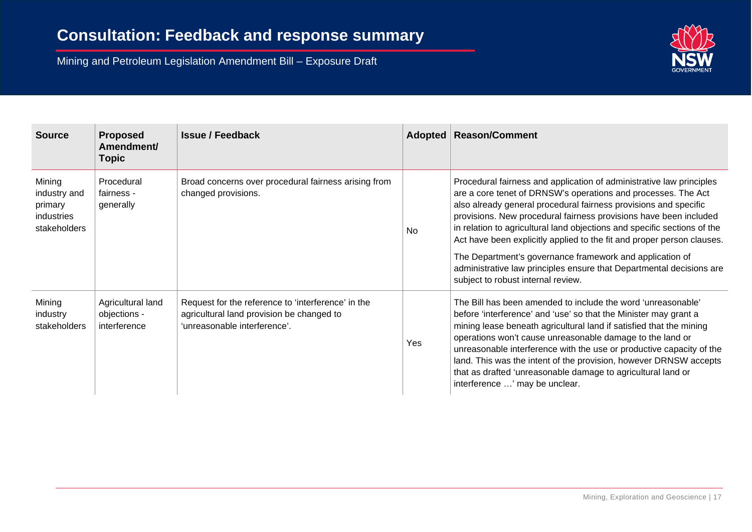

| <b>Source</b>                                                   | <b>Proposed</b><br>Amendment/<br>Topic            | <b>Issue / Feedback</b>                                                                                                         |           | Adopted   Reason/Comment                                                                                                                                                                                                                                                                                                                                                                                                                                                                                                                                                                                       |
|-----------------------------------------------------------------|---------------------------------------------------|---------------------------------------------------------------------------------------------------------------------------------|-----------|----------------------------------------------------------------------------------------------------------------------------------------------------------------------------------------------------------------------------------------------------------------------------------------------------------------------------------------------------------------------------------------------------------------------------------------------------------------------------------------------------------------------------------------------------------------------------------------------------------------|
| Mining<br>industry and<br>primary<br>industries<br>stakeholders | Procedural<br>fairness -<br>generally             | Broad concerns over procedural fairness arising from<br>changed provisions.                                                     | <b>No</b> | Procedural fairness and application of administrative law principles<br>are a core tenet of DRNSW's operations and processes. The Act<br>also already general procedural fairness provisions and specific<br>provisions. New procedural fairness provisions have been included<br>in relation to agricultural land objections and specific sections of the<br>Act have been explicitly applied to the fit and proper person clauses.<br>The Department's governance framework and application of<br>administrative law principles ensure that Departmental decisions are<br>subject to robust internal review. |
| Mining<br>industry<br>stakeholders                              | Agricultural land<br>objections -<br>interference | Request for the reference to 'interference' in the<br>agricultural land provision be changed to<br>'unreasonable interference'. | Yes       | The Bill has been amended to include the word 'unreasonable'<br>before 'interference' and 'use' so that the Minister may grant a<br>mining lease beneath agricultural land if satisfied that the mining<br>operations won't cause unreasonable damage to the land or<br>unreasonable interference with the use or productive capacity of the<br>land. This was the intent of the provision, however DRNSW accepts<br>that as drafted 'unreasonable damage to agricultural land or<br>interference ' may be unclear.                                                                                            |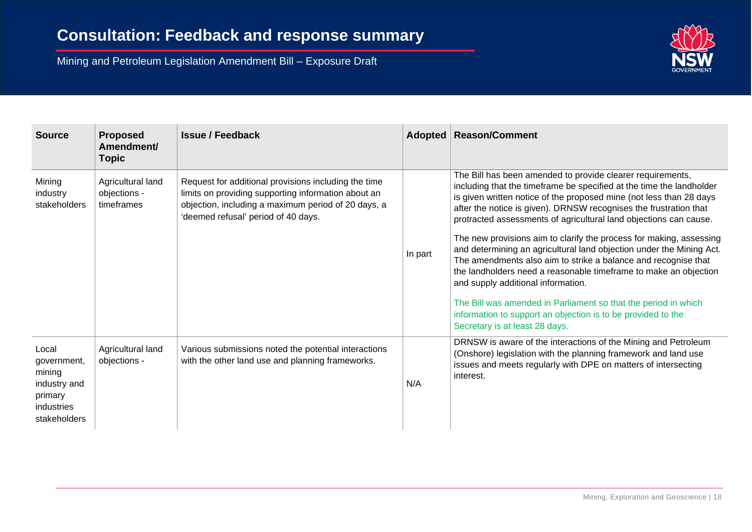

| <b>Source</b>                                                                           | <b>Proposed</b><br>Amendment/<br><b>Topic</b>   | <b>Issue / Feedback</b>                                                                                                                                                                                   | Adopted | <b>Reason/Comment</b>                                                                                                                                                                                                                                                                                                                               |
|-----------------------------------------------------------------------------------------|-------------------------------------------------|-----------------------------------------------------------------------------------------------------------------------------------------------------------------------------------------------------------|---------|-----------------------------------------------------------------------------------------------------------------------------------------------------------------------------------------------------------------------------------------------------------------------------------------------------------------------------------------------------|
| Mining<br>industry<br>stakeholders                                                      | Agricultural land<br>objections -<br>timeframes | Request for additional provisions including the time<br>limits on providing supporting information about an<br>objection, including a maximum period of 20 days, a<br>'deemed refusal' period of 40 days. |         | The Bill has been amended to provide clearer requirements,<br>including that the timeframe be specified at the time the landholder<br>is given written notice of the proposed mine (not less than 28 days<br>after the notice is given). DRNSW recognises the frustration that<br>protracted assessments of agricultural land objections can cause. |
|                                                                                         |                                                 |                                                                                                                                                                                                           | In part | The new provisions aim to clarify the process for making, assessing<br>and determining an agricultural land objection under the Mining Act.<br>The amendments also aim to strike a balance and recognise that<br>the landholders need a reasonable timeframe to make an objection<br>and supply additional information.                             |
|                                                                                         |                                                 |                                                                                                                                                                                                           |         | The Bill was amended in Parliament so that the period in which<br>information to support an objection is to be provided to the<br>Secretary is at least 28 days.                                                                                                                                                                                    |
| Local<br>government,<br>mining<br>industry and<br>primary<br>industries<br>stakeholders | Agricultural land<br>objections -               | Various submissions noted the potential interactions<br>with the other land use and planning frameworks.                                                                                                  | N/A     | DRNSW is aware of the interactions of the Mining and Petroleum<br>(Onshore) legislation with the planning framework and land use<br>issues and meets regularly with DPE on matters of intersecting<br>interest.                                                                                                                                     |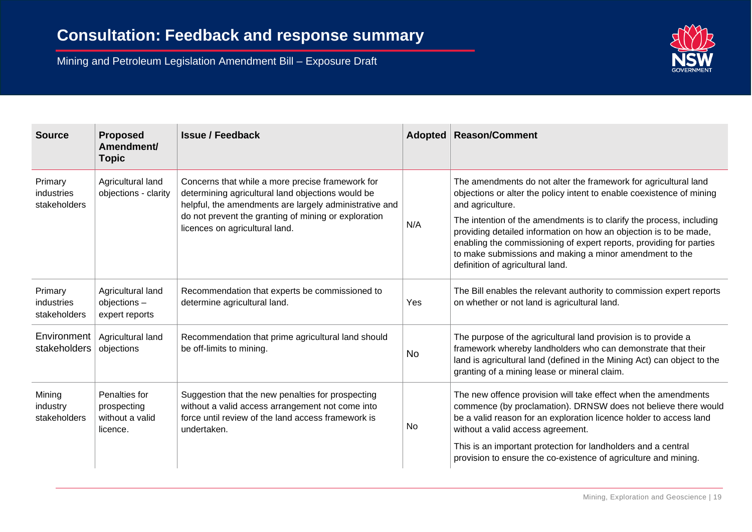

| <b>Source</b>                         | <b>Proposed</b><br>Amendment/<br><b>Topic</b>               | <b>Issue / Feedback</b>                                                                                                                                                                                                                                   |           | <b>Adopted   Reason/Comment</b>                                                                                                                                                                                                                                                                                                                                                                                                                                                 |
|---------------------------------------|-------------------------------------------------------------|-----------------------------------------------------------------------------------------------------------------------------------------------------------------------------------------------------------------------------------------------------------|-----------|---------------------------------------------------------------------------------------------------------------------------------------------------------------------------------------------------------------------------------------------------------------------------------------------------------------------------------------------------------------------------------------------------------------------------------------------------------------------------------|
| Primary<br>industries<br>stakeholders | Agricultural land<br>objections - clarity                   | Concerns that while a more precise framework for<br>determining agricultural land objections would be<br>helpful, the amendments are largely administrative and<br>do not prevent the granting of mining or exploration<br>licences on agricultural land. | N/A       | The amendments do not alter the framework for agricultural land<br>objections or alter the policy intent to enable coexistence of mining<br>and agriculture.<br>The intention of the amendments is to clarify the process, including<br>providing detailed information on how an objection is to be made,<br>enabling the commissioning of expert reports, providing for parties<br>to make submissions and making a minor amendment to the<br>definition of agricultural land. |
| Primary<br>industries<br>stakeholders | Agricultural land<br>objections-<br>expert reports          | Recommendation that experts be commissioned to<br>determine agricultural land.                                                                                                                                                                            | Yes       | The Bill enables the relevant authority to commission expert reports<br>on whether or not land is agricultural land.                                                                                                                                                                                                                                                                                                                                                            |
| Environment<br>stakeholders           | Agricultural land<br>objections                             | Recommendation that prime agricultural land should<br>be off-limits to mining.                                                                                                                                                                            | <b>No</b> | The purpose of the agricultural land provision is to provide a<br>framework whereby landholders who can demonstrate that their<br>land is agricultural land (defined in the Mining Act) can object to the<br>granting of a mining lease or mineral claim.                                                                                                                                                                                                                       |
| Mining<br>industry<br>stakeholders    | Penalties for<br>prospecting<br>without a valid<br>licence. | Suggestion that the new penalties for prospecting<br>without a valid access arrangement not come into<br>force until review of the land access framework is<br>undertaken.                                                                                | No.       | The new offence provision will take effect when the amendments<br>commence (by proclamation). DRNSW does not believe there would<br>be a valid reason for an exploration licence holder to access land<br>without a valid access agreement.<br>This is an important protection for landholders and a central<br>provision to ensure the co-existence of agriculture and mining.                                                                                                 |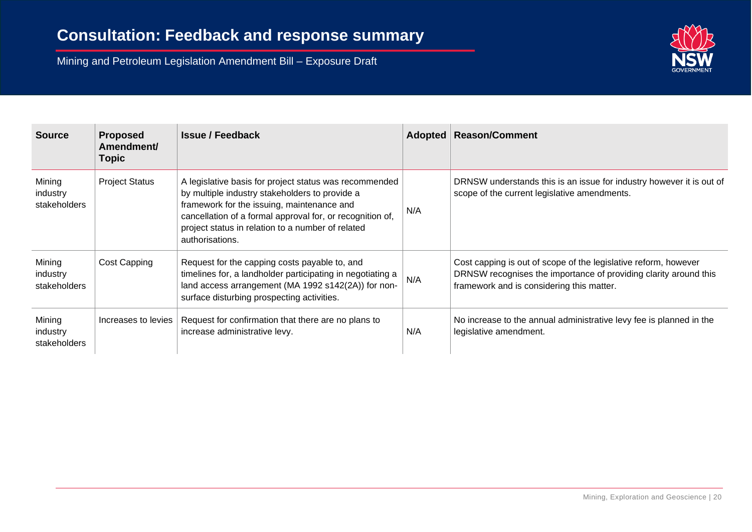

| <b>Source</b>                      | <b>Proposed</b><br>Amendment/<br><b>Topic</b> | <b>Issue / Feedback</b>                                                                                                                                                                                                                                                                     | Adopted | <b>Reason/Comment</b>                                                                                                                                                            |
|------------------------------------|-----------------------------------------------|---------------------------------------------------------------------------------------------------------------------------------------------------------------------------------------------------------------------------------------------------------------------------------------------|---------|----------------------------------------------------------------------------------------------------------------------------------------------------------------------------------|
| Mining<br>industry<br>stakeholders | <b>Project Status</b>                         | A legislative basis for project status was recommended<br>by multiple industry stakeholders to provide a<br>framework for the issuing, maintenance and<br>cancellation of a formal approval for, or recognition of,<br>project status in relation to a number of related<br>authorisations. | N/A     | DRNSW understands this is an issue for industry however it is out of<br>scope of the current legislative amendments.                                                             |
| Mining<br>industry<br>stakeholders | Cost Capping                                  | Request for the capping costs payable to, and<br>timelines for, a landholder participating in negotiating a<br>land access arrangement (MA 1992 s142(2A)) for non-<br>surface disturbing prospecting activities.                                                                            | N/A     | Cost capping is out of scope of the legislative reform, however<br>DRNSW recognises the importance of providing clarity around this<br>framework and is considering this matter. |
| Mining<br>industry<br>stakeholders | Increases to levies                           | Request for confirmation that there are no plans to<br>increase administrative levy.                                                                                                                                                                                                        | N/A     | No increase to the annual administrative levy fee is planned in the<br>legislative amendment.                                                                                    |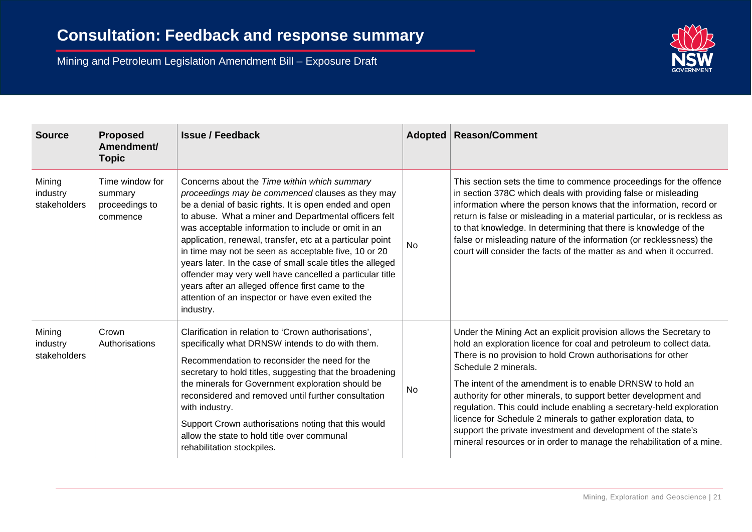

| <b>Source</b>                      | <b>Proposed</b><br>Amendment/<br>Topic                   | <b>Issue / Feedback</b>                                                                                                                                                                                                                                                                                                                                                                                                                                                                                                                                                                                                                         |           | Adopted   Reason/Comment                                                                                                                                                                                                                                                                                                                                                                                                                                                                                                                                                                                                                              |
|------------------------------------|----------------------------------------------------------|-------------------------------------------------------------------------------------------------------------------------------------------------------------------------------------------------------------------------------------------------------------------------------------------------------------------------------------------------------------------------------------------------------------------------------------------------------------------------------------------------------------------------------------------------------------------------------------------------------------------------------------------------|-----------|-------------------------------------------------------------------------------------------------------------------------------------------------------------------------------------------------------------------------------------------------------------------------------------------------------------------------------------------------------------------------------------------------------------------------------------------------------------------------------------------------------------------------------------------------------------------------------------------------------------------------------------------------------|
| Mining<br>industry<br>stakeholders | Time window for<br>summary<br>proceedings to<br>commence | Concerns about the Time within which summary<br>proceedings may be commenced clauses as they may<br>be a denial of basic rights. It is open ended and open<br>to abuse. What a miner and Departmental officers felt<br>was acceptable information to include or omit in an<br>application, renewal, transfer, etc at a particular point<br>in time may not be seen as acceptable five, 10 or 20<br>years later. In the case of small scale titles the alleged<br>offender may very well have cancelled a particular title<br>years after an alleged offence first came to the<br>attention of an inspector or have even exited the<br>industry. | <b>No</b> | This section sets the time to commence proceedings for the offence<br>in section 378C which deals with providing false or misleading<br>information where the person knows that the information, record or<br>return is false or misleading in a material particular, or is reckless as<br>to that knowledge. In determining that there is knowledge of the<br>false or misleading nature of the information (or recklessness) the<br>court will consider the facts of the matter as and when it occurred.                                                                                                                                            |
| Mining<br>industry<br>stakeholders | Crown<br>Authorisations                                  | Clarification in relation to 'Crown authorisations',<br>specifically what DRNSW intends to do with them.<br>Recommendation to reconsider the need for the<br>secretary to hold titles, suggesting that the broadening<br>the minerals for Government exploration should be<br>reconsidered and removed until further consultation<br>with industry.<br>Support Crown authorisations noting that this would<br>allow the state to hold title over communal<br>rehabilitation stockpiles.                                                                                                                                                         | No        | Under the Mining Act an explicit provision allows the Secretary to<br>hold an exploration licence for coal and petroleum to collect data.<br>There is no provision to hold Crown authorisations for other<br>Schedule 2 minerals.<br>The intent of the amendment is to enable DRNSW to hold an<br>authority for other minerals, to support better development and<br>regulation. This could include enabling a secretary-held exploration<br>licence for Schedule 2 minerals to gather exploration data, to<br>support the private investment and development of the state's<br>mineral resources or in order to manage the rehabilitation of a mine. |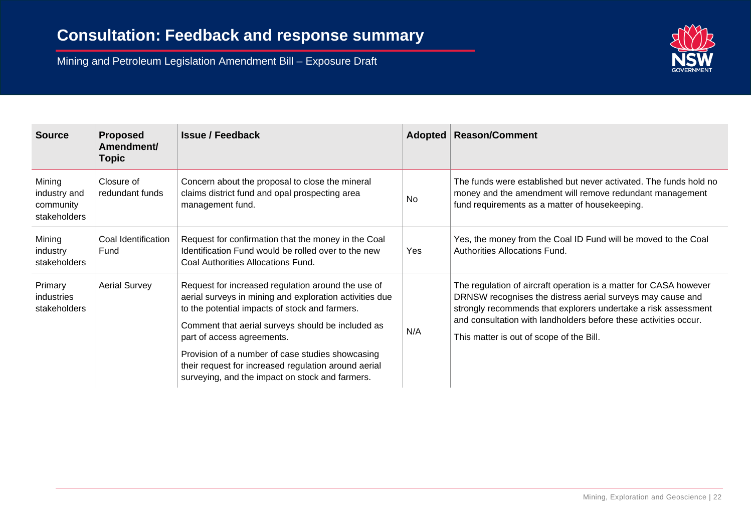

| <b>Source</b>                                       | <b>Proposed</b><br>Amendment/<br>Topic | <b>Issue / Feedback</b>                                                                                                                                                                                                                                                                                                                                                                                           |           | Adopted   Reason/Comment                                                                                                                                                                                                                                                                                          |
|-----------------------------------------------------|----------------------------------------|-------------------------------------------------------------------------------------------------------------------------------------------------------------------------------------------------------------------------------------------------------------------------------------------------------------------------------------------------------------------------------------------------------------------|-----------|-------------------------------------------------------------------------------------------------------------------------------------------------------------------------------------------------------------------------------------------------------------------------------------------------------------------|
| Mining<br>industry and<br>community<br>stakeholders | Closure of<br>redundant funds          | Concern about the proposal to close the mineral<br>claims district fund and opal prospecting area<br>management fund.                                                                                                                                                                                                                                                                                             | <b>No</b> | The funds were established but never activated. The funds hold no<br>money and the amendment will remove redundant management<br>fund requirements as a matter of housekeeping.                                                                                                                                   |
| Mining<br>industry<br>stakeholders                  | Coal Identification<br>Fund            | Request for confirmation that the money in the Coal<br>Identification Fund would be rolled over to the new<br>Coal Authorities Allocations Fund.                                                                                                                                                                                                                                                                  | Yes       | Yes, the money from the Coal ID Fund will be moved to the Coal<br>Authorities Allocations Fund.                                                                                                                                                                                                                   |
| Primary<br>industries<br>stakeholders               | <b>Aerial Survey</b>                   | Request for increased regulation around the use of<br>aerial surveys in mining and exploration activities due<br>to the potential impacts of stock and farmers.<br>Comment that aerial surveys should be included as<br>part of access agreements.<br>Provision of a number of case studies showcasing<br>their request for increased regulation around aerial<br>surveying, and the impact on stock and farmers. | N/A       | The regulation of aircraft operation is a matter for CASA however<br>DRNSW recognises the distress aerial surveys may cause and<br>strongly recommends that explorers undertake a risk assessment<br>and consultation with landholders before these activities occur.<br>This matter is out of scope of the Bill. |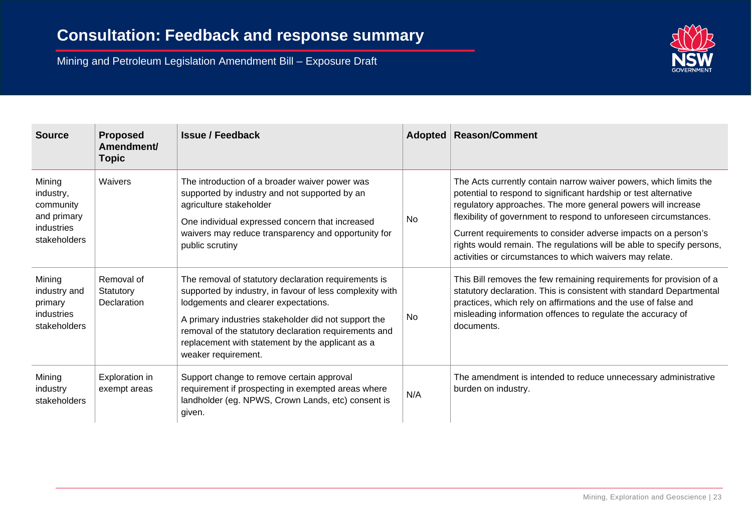

| <b>Source</b>                                                                 | <b>Proposed</b><br>Amendment/<br>Topic | <b>Issue / Feedback</b>                                                                                                                                                                                                                                                                                                                              |     | Adopted   Reason/Comment                                                                                                                                                                                                                                                                                                                                                                                                                                                          |
|-------------------------------------------------------------------------------|----------------------------------------|------------------------------------------------------------------------------------------------------------------------------------------------------------------------------------------------------------------------------------------------------------------------------------------------------------------------------------------------------|-----|-----------------------------------------------------------------------------------------------------------------------------------------------------------------------------------------------------------------------------------------------------------------------------------------------------------------------------------------------------------------------------------------------------------------------------------------------------------------------------------|
| Mining<br>industry,<br>community<br>and primary<br>industries<br>stakeholders | Waivers                                | The introduction of a broader waiver power was<br>supported by industry and not supported by an<br>agriculture stakeholder<br>One individual expressed concern that increased<br>waivers may reduce transparency and opportunity for<br>public scrutiny                                                                                              | No  | The Acts currently contain narrow waiver powers, which limits the<br>potential to respond to significant hardship or test alternative<br>regulatory approaches. The more general powers will increase<br>flexibility of government to respond to unforeseen circumstances.<br>Current requirements to consider adverse impacts on a person's<br>rights would remain. The regulations will be able to specify persons,<br>activities or circumstances to which waivers may relate. |
| Mining<br>industry and<br>primary<br>industries<br>stakeholders               | Removal of<br>Statutory<br>Declaration | The removal of statutory declaration requirements is<br>supported by industry, in favour of less complexity with<br>lodgements and clearer expectations.<br>A primary industries stakeholder did not support the<br>removal of the statutory declaration requirements and<br>replacement with statement by the applicant as a<br>weaker requirement. | No. | This Bill removes the few remaining requirements for provision of a<br>statutory declaration. This is consistent with standard Departmental<br>practices, which rely on affirmations and the use of false and<br>misleading information offences to regulate the accuracy of<br>documents.                                                                                                                                                                                        |
| Mining<br>industry<br>stakeholders                                            | Exploration in<br>exempt areas         | Support change to remove certain approval<br>requirement if prospecting in exempted areas where<br>landholder (eg. NPWS, Crown Lands, etc) consent is<br>given.                                                                                                                                                                                      | N/A | The amendment is intended to reduce unnecessary administrative<br>burden on industry.                                                                                                                                                                                                                                                                                                                                                                                             |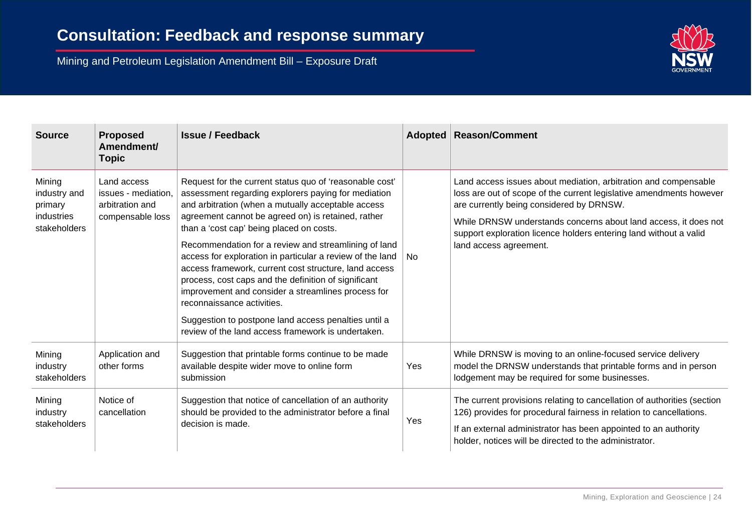

| <b>Source</b>                                                   | <b>Proposed</b><br>Amendment/<br><b>Topic</b>                             | <b>Issue / Feedback</b>                                                                                                                                                                                                                                                                                                                                                                                                                                                                                                                                                                                                                                                                                        |      | Adopted   Reason/Comment                                                                                                                                                                                                                                                                                                                             |
|-----------------------------------------------------------------|---------------------------------------------------------------------------|----------------------------------------------------------------------------------------------------------------------------------------------------------------------------------------------------------------------------------------------------------------------------------------------------------------------------------------------------------------------------------------------------------------------------------------------------------------------------------------------------------------------------------------------------------------------------------------------------------------------------------------------------------------------------------------------------------------|------|------------------------------------------------------------------------------------------------------------------------------------------------------------------------------------------------------------------------------------------------------------------------------------------------------------------------------------------------------|
| Mining<br>industry and<br>primary<br>industries<br>stakeholders | Land access<br>issues - mediation,<br>arbitration and<br>compensable loss | Request for the current status quo of 'reasonable cost'<br>assessment regarding explorers paying for mediation<br>and arbitration (when a mutually acceptable access<br>agreement cannot be agreed on) is retained, rather<br>than a 'cost cap' being placed on costs.<br>Recommendation for a review and streamlining of land<br>access for exploration in particular a review of the land<br>access framework, current cost structure, land access<br>process, cost caps and the definition of significant<br>improvement and consider a streamlines process for<br>reconnaissance activities.<br>Suggestion to postpone land access penalties until a<br>review of the land access framework is undertaken. | l No | Land access issues about mediation, arbitration and compensable<br>loss are out of scope of the current legislative amendments however<br>are currently being considered by DRNSW.<br>While DRNSW understands concerns about land access, it does not<br>support exploration licence holders entering land without a valid<br>land access agreement. |
| Mining<br>industry<br>stakeholders                              | Application and<br>other forms                                            | Suggestion that printable forms continue to be made<br>available despite wider move to online form<br>submission                                                                                                                                                                                                                                                                                                                                                                                                                                                                                                                                                                                               | Yes  | While DRNSW is moving to an online-focused service delivery<br>model the DRNSW understands that printable forms and in person<br>lodgement may be required for some businesses.                                                                                                                                                                      |
| Mining<br>industry<br>stakeholders                              | Notice of<br>cancellation                                                 | Suggestion that notice of cancellation of an authority<br>should be provided to the administrator before a final<br>decision is made.                                                                                                                                                                                                                                                                                                                                                                                                                                                                                                                                                                          | Yes  | The current provisions relating to cancellation of authorities (section<br>126) provides for procedural fairness in relation to cancellations.<br>If an external administrator has been appointed to an authority<br>holder, notices will be directed to the administrator.                                                                          |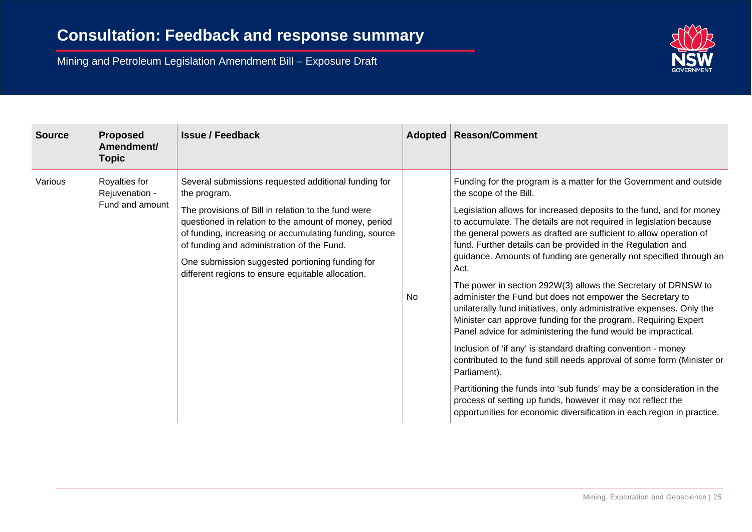

| <b>Source</b> | <b>Proposed</b><br>Amendment/<br><b>Topic</b>      | <b>Issue / Feedback</b>                                                                                                                                                                                                                                                                                                                                                                              |           | Adopted   Reason/Comment                                                                                                                                                                                                                                                                                                                                                                                                                                                                                                                                                                                                                                                                                                                                                                                                                                                                                                                                                                                                                                                                                                                                                              |
|---------------|----------------------------------------------------|------------------------------------------------------------------------------------------------------------------------------------------------------------------------------------------------------------------------------------------------------------------------------------------------------------------------------------------------------------------------------------------------------|-----------|---------------------------------------------------------------------------------------------------------------------------------------------------------------------------------------------------------------------------------------------------------------------------------------------------------------------------------------------------------------------------------------------------------------------------------------------------------------------------------------------------------------------------------------------------------------------------------------------------------------------------------------------------------------------------------------------------------------------------------------------------------------------------------------------------------------------------------------------------------------------------------------------------------------------------------------------------------------------------------------------------------------------------------------------------------------------------------------------------------------------------------------------------------------------------------------|
| Various       | Royalties for<br>Rejuvenation -<br>Fund and amount | Several submissions requested additional funding for<br>the program.<br>The provisions of Bill in relation to the fund were<br>questioned in relation to the amount of money, period<br>of funding, increasing or accumulating funding, source<br>of funding and administration of the Fund.<br>One submission suggested portioning funding for<br>different regions to ensure equitable allocation. | <b>No</b> | Funding for the program is a matter for the Government and outside<br>the scope of the Bill.<br>Legislation allows for increased deposits to the fund, and for money<br>to accumulate. The details are not required in legislation because<br>the general powers as drafted are sufficient to allow operation of<br>fund. Further details can be provided in the Regulation and<br>guidance. Amounts of funding are generally not specified through an<br>Act.<br>The power in section 292W(3) allows the Secretary of DRNSW to<br>administer the Fund but does not empower the Secretary to<br>unilaterally fund initiatives, only administrative expenses. Only the<br>Minister can approve funding for the program. Requiring Expert<br>Panel advice for administering the fund would be impractical.<br>Inclusion of 'if any' is standard drafting convention - money<br>contributed to the fund still needs approval of some form (Minister or<br>Parliament).<br>Partitioning the funds into 'sub funds' may be a consideration in the<br>process of setting up funds, however it may not reflect the<br>opportunities for economic diversification in each region in practice. |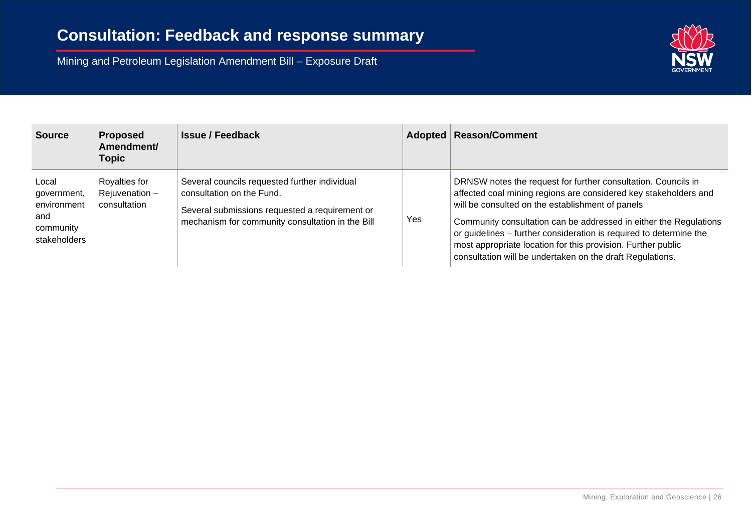

| <b>Source</b>                                                           | <b>Proposed</b><br>Amendment/<br><b>Topic</b>     | <b>Issue / Feedback</b>                                                                                                                                                          |     | Adopted   Reason/Comment                                                                                                                                                                                                                                                                                                                                                                                                                                      |
|-------------------------------------------------------------------------|---------------------------------------------------|----------------------------------------------------------------------------------------------------------------------------------------------------------------------------------|-----|---------------------------------------------------------------------------------------------------------------------------------------------------------------------------------------------------------------------------------------------------------------------------------------------------------------------------------------------------------------------------------------------------------------------------------------------------------------|
| Local<br>government,<br>environment<br>and<br>community<br>stakeholders | Royalties for<br>Rejuvenation $-$<br>consultation | Several councils requested further individual<br>consultation on the Fund.<br>Several submissions requested a requirement or<br>mechanism for community consultation in the Bill | Yes | DRNSW notes the request for further consultation. Councils in<br>affected coal mining regions are considered key stakeholders and<br>will be consulted on the establishment of panels<br>Community consultation can be addressed in either the Regulations<br>or guidelines – further consideration is required to determine the<br>most appropriate location for this provision. Further public<br>consultation will be undertaken on the draft Regulations. |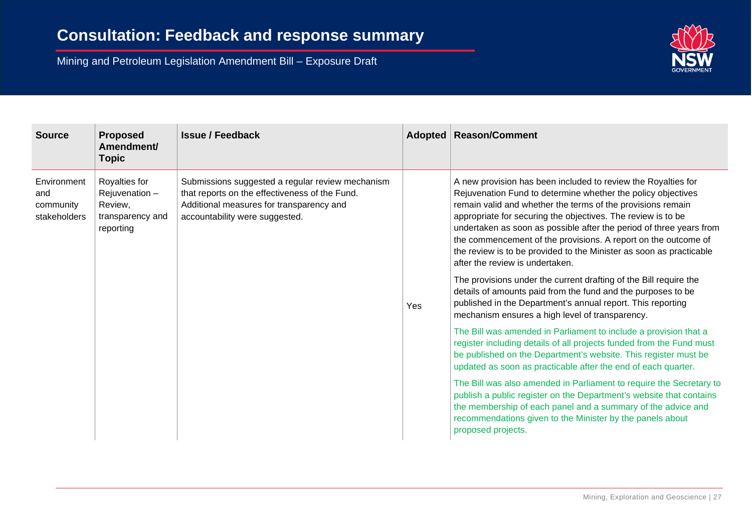

| <b>Source</b>                                   | <b>Proposed</b><br>Amendment/<br><b>Topic</b>                              | <b>Issue / Feedback</b>                                                                                                                                                          | Adopted | <b>Reason/Comment</b>                                                                                                                                                                                                                                                                                                                                                                                                                                                                                           |
|-------------------------------------------------|----------------------------------------------------------------------------|----------------------------------------------------------------------------------------------------------------------------------------------------------------------------------|---------|-----------------------------------------------------------------------------------------------------------------------------------------------------------------------------------------------------------------------------------------------------------------------------------------------------------------------------------------------------------------------------------------------------------------------------------------------------------------------------------------------------------------|
| Environment<br>and<br>community<br>stakeholders | Royalties for<br>Rejuvenation-<br>Review,<br>transparency and<br>reporting | Submissions suggested a regular review mechanism<br>that reports on the effectiveness of the Fund.<br>Additional measures for transparency and<br>accountability were suggested. | Yes     | A new provision has been included to review the Royalties for<br>Rejuvenation Fund to determine whether the policy objectives<br>remain valid and whether the terms of the provisions remain<br>appropriate for securing the objectives. The review is to be<br>undertaken as soon as possible after the period of three years from<br>the commencement of the provisions. A report on the outcome of<br>the review is to be provided to the Minister as soon as practicable<br>after the review is undertaken. |
|                                                 |                                                                            |                                                                                                                                                                                  |         | The provisions under the current drafting of the Bill require the<br>details of amounts paid from the fund and the purposes to be<br>published in the Department's annual report. This reporting<br>mechanism ensures a high level of transparency.                                                                                                                                                                                                                                                             |
|                                                 |                                                                            |                                                                                                                                                                                  |         | The Bill was amended in Parliament to include a provision that a<br>register including details of all projects funded from the Fund must<br>be published on the Department's website. This register must be<br>updated as soon as practicable after the end of each quarter.                                                                                                                                                                                                                                    |
|                                                 |                                                                            |                                                                                                                                                                                  |         | The Bill was also amended in Parliament to require the Secretary to<br>publish a public register on the Department's website that contains<br>the membership of each panel and a summary of the advice and<br>recommendations given to the Minister by the panels about<br>proposed projects.                                                                                                                                                                                                                   |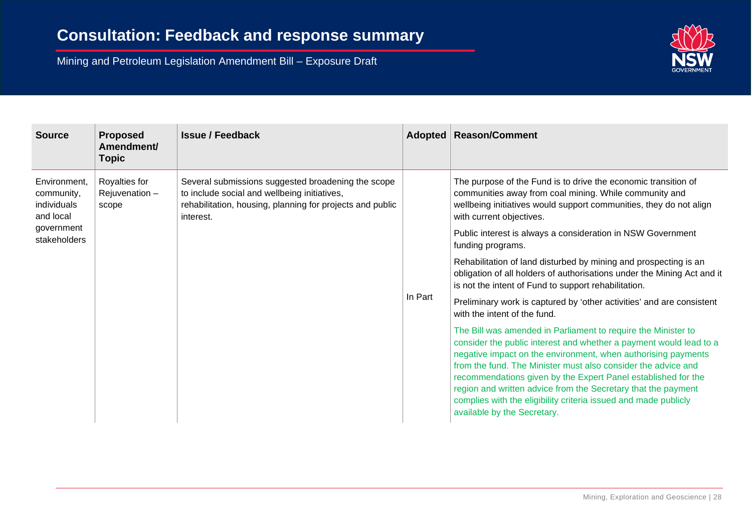

| <b>Source</b>                                                                        | <b>Proposed</b><br>Amendment/<br><b>Topic</b> | <b>Issue / Feedback</b>                                                                                                                                                      |         | Adopted   Reason/Comment                                                                                                                                                                                                                                                                                                                                                                                                                                                                                  |
|--------------------------------------------------------------------------------------|-----------------------------------------------|------------------------------------------------------------------------------------------------------------------------------------------------------------------------------|---------|-----------------------------------------------------------------------------------------------------------------------------------------------------------------------------------------------------------------------------------------------------------------------------------------------------------------------------------------------------------------------------------------------------------------------------------------------------------------------------------------------------------|
| Environment,<br>community,<br>individuals<br>and local<br>government<br>stakeholders | Royalties for<br>Rejuvenation $-$<br>scope    | Several submissions suggested broadening the scope<br>to include social and wellbeing initiatives,<br>rehabilitation, housing, planning for projects and public<br>interest. | In Part | The purpose of the Fund is to drive the economic transition of<br>communities away from coal mining. While community and<br>wellbeing initiatives would support communities, they do not align<br>with current objectives.                                                                                                                                                                                                                                                                                |
|                                                                                      |                                               |                                                                                                                                                                              |         | Public interest is always a consideration in NSW Government<br>funding programs.                                                                                                                                                                                                                                                                                                                                                                                                                          |
|                                                                                      |                                               |                                                                                                                                                                              |         | Rehabilitation of land disturbed by mining and prospecting is an<br>obligation of all holders of authorisations under the Mining Act and it<br>is not the intent of Fund to support rehabilitation.                                                                                                                                                                                                                                                                                                       |
|                                                                                      |                                               |                                                                                                                                                                              |         | Preliminary work is captured by 'other activities' and are consistent<br>with the intent of the fund.                                                                                                                                                                                                                                                                                                                                                                                                     |
|                                                                                      |                                               |                                                                                                                                                                              |         | The Bill was amended in Parliament to require the Minister to<br>consider the public interest and whether a payment would lead to a<br>negative impact on the environment, when authorising payments<br>from the fund. The Minister must also consider the advice and<br>recommendations given by the Expert Panel established for the<br>region and written advice from the Secretary that the payment<br>complies with the eligibility criteria issued and made publicly<br>available by the Secretary. |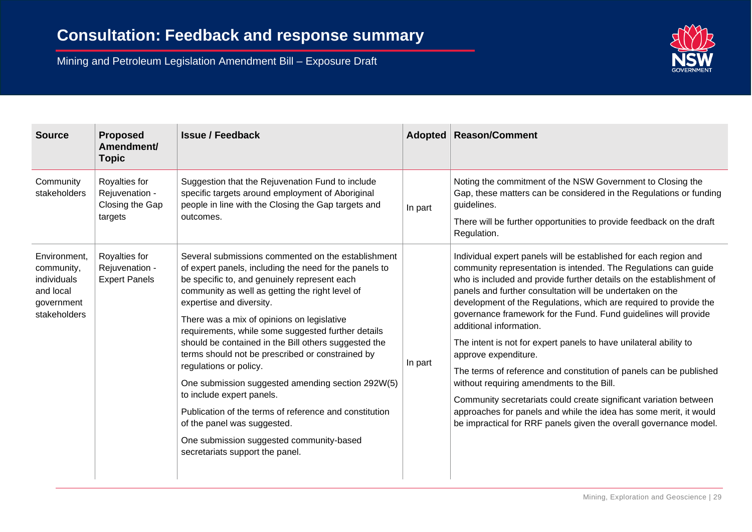

| <b>Source</b>                                                                        | <b>Proposed</b><br>Amendment/<br><b>Topic</b>                 | <b>Issue / Feedback</b>                                                                                                                                                                                                                                                                                                                                                                                                                                                                                                                                                                                                                                                                                                                         |         | Adopted   Reason/Comment                                                                                                                                                                                                                                                                                                                                                                                                                                                                                                                                                                                                                                                                                                                                                                                                                                                  |
|--------------------------------------------------------------------------------------|---------------------------------------------------------------|-------------------------------------------------------------------------------------------------------------------------------------------------------------------------------------------------------------------------------------------------------------------------------------------------------------------------------------------------------------------------------------------------------------------------------------------------------------------------------------------------------------------------------------------------------------------------------------------------------------------------------------------------------------------------------------------------------------------------------------------------|---------|---------------------------------------------------------------------------------------------------------------------------------------------------------------------------------------------------------------------------------------------------------------------------------------------------------------------------------------------------------------------------------------------------------------------------------------------------------------------------------------------------------------------------------------------------------------------------------------------------------------------------------------------------------------------------------------------------------------------------------------------------------------------------------------------------------------------------------------------------------------------------|
| Community<br>stakeholders                                                            | Royalties for<br>Rejuvenation -<br>Closing the Gap<br>targets | Suggestion that the Rejuvenation Fund to include<br>specific targets around employment of Aboriginal<br>people in line with the Closing the Gap targets and<br>outcomes.                                                                                                                                                                                                                                                                                                                                                                                                                                                                                                                                                                        | In part | Noting the commitment of the NSW Government to Closing the<br>Gap, these matters can be considered in the Regulations or funding<br>guidelines.<br>There will be further opportunities to provide feedback on the draft<br>Regulation.                                                                                                                                                                                                                                                                                                                                                                                                                                                                                                                                                                                                                                    |
| Environment,<br>community,<br>individuals<br>and local<br>government<br>stakeholders | Royalties for<br>Rejuvenation -<br><b>Expert Panels</b>       | Several submissions commented on the establishment<br>of expert panels, including the need for the panels to<br>be specific to, and genuinely represent each<br>community as well as getting the right level of<br>expertise and diversity.<br>There was a mix of opinions on legislative<br>requirements, while some suggested further details<br>should be contained in the Bill others suggested the<br>terms should not be prescribed or constrained by<br>regulations or policy.<br>One submission suggested amending section 292W(5)<br>to include expert panels.<br>Publication of the terms of reference and constitution<br>of the panel was suggested.<br>One submission suggested community-based<br>secretariats support the panel. | In part | Individual expert panels will be established for each region and<br>community representation is intended. The Regulations can guide<br>who is included and provide further details on the establishment of<br>panels and further consultation will be undertaken on the<br>development of the Regulations, which are required to provide the<br>governance framework for the Fund. Fund guidelines will provide<br>additional information.<br>The intent is not for expert panels to have unilateral ability to<br>approve expenditure.<br>The terms of reference and constitution of panels can be published<br>without requiring amendments to the Bill.<br>Community secretariats could create significant variation between<br>approaches for panels and while the idea has some merit, it would<br>be impractical for RRF panels given the overall governance model. |